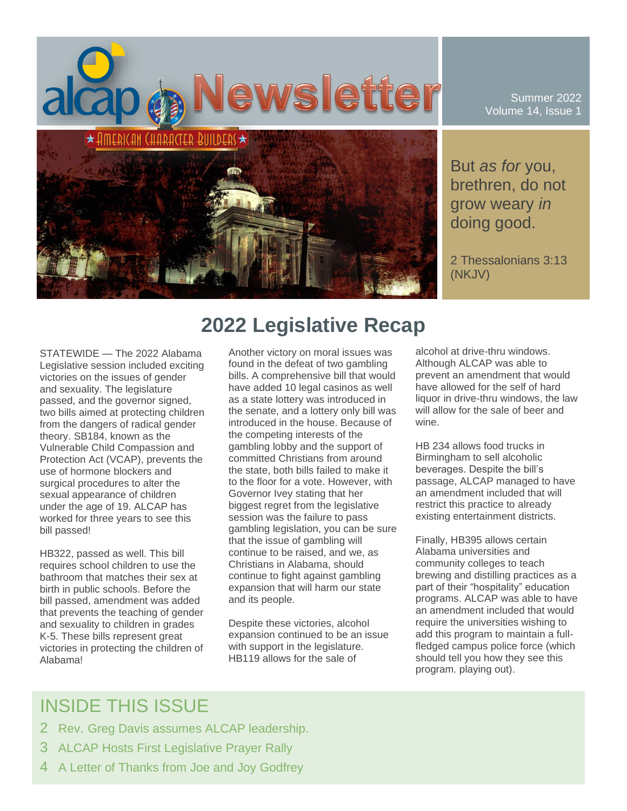

Summer 2022 Volume 14, Issue 1

But *as for* you, brethren, do not grow weary *in* doing good.

2 Thessalonians 3:13 (NKJV)

STATEWIDE — The 2022 Alabama Legislative session included exciting victories on the issues of gender and sexuality. The legislature passed, and the governor signed, two bills aimed at protecting children from the dangers of radical gender theory. SB184, known as the Vulnerable Child Compassion and Protection Act (VCAP), prevents the use of hormone blockers and surgical procedures to alter the sexual appearance of children under the age of 19. ALCAP has worked for three years to see this bill passed!

HB322, passed as well. This bill requires school children to use the bathroom that matches their sex at birth in public schools. Before the bill passed, amendment was added that prevents the teaching of gender and sexuality to children in grades K-5. These bills represent great victories in protecting the children of Alabama!

# **2022 Legislative Recap**

Another victory on moral issues was found in the defeat of two gambling bills. A comprehensive bill that would have added 10 legal casinos as well as a state lottery was introduced in the senate, and a lottery only bill was introduced in the house. Because of the competing interests of the gambling lobby and the support of committed Christians from around the state, both bills failed to make it to the floor for a vote. However, with Governor Ivey stating that her biggest regret from the legislative session was the failure to pass gambling legislation, you can be sure that the issue of gambling will continue to be raised, and we, as Christians in Alabama, should continue to fight against gambling expansion that will harm our state and its people.

Despite these victories, alcohol expansion continued to be an issue with support in the legislature. HB119 allows for the sale of

alcohol at drive-thru windows. Although ALCAP was able to prevent an amendment that would have allowed for the self of hard liquor in drive-thru windows, the law will allow for the sale of beer and wine.

HB 234 allows food trucks in Birmingham to sell alcoholic beverages. Despite the bill's passage, ALCAP managed to have an amendment included that will restrict this practice to already existing entertainment districts.

Finally, HB395 allows certain Alabama universities and community colleges to teach brewing and distilling practices as a part of their "hospitality" education programs. ALCAP was able to have an amendment included that would require the universities wishing to add this program to maintain a fullfledged campus police force (which should tell you how they see this program. playing out).

## INSIDE THIS ISSUE

- 2 Rev. Greg Davis assumes ALCAP leadership.
- 3 ALCAP Hosts First Legislative Prayer Rally
- 4 A Letter of Thanks from Joe and Joy Godfrey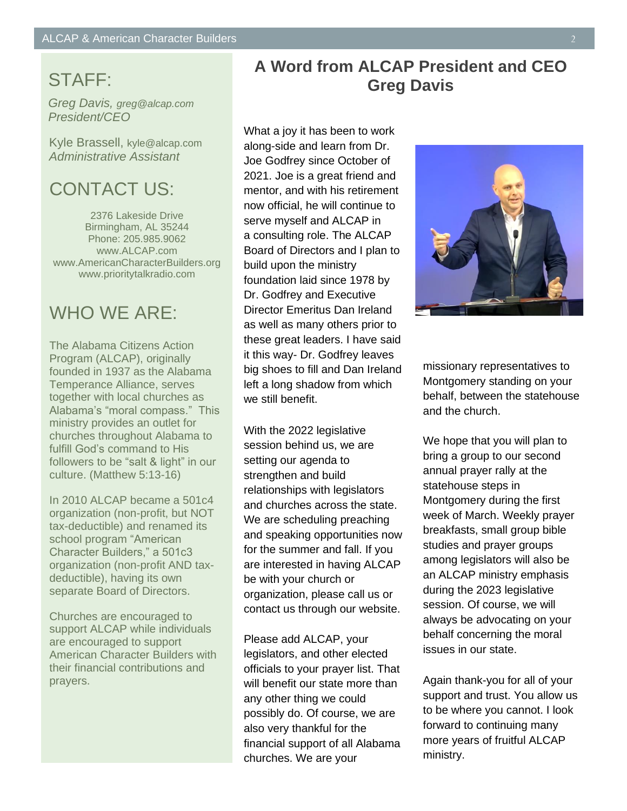# **GTAFF:**

**ALCAP & American**  *Greg Davis, greg@alcap.com* **President/CEO** 

Kyle Brassell, kyle@alcap.com *both the ALCAP & American Administrative Assistant*

#### CONTACT US: *lead these two important*

*organizations after the*  2376 Lakeside Drive *Rimingham, AL 35244* **on April 205.985.9062** www.ALCAP.com www.AmericanCharacterBuilders.org www.prioritytalkradio.com

#### WHO WE ARE:

The Alabama Citizens Action Program (ALCAP), originally founded in 1937 as the Alabama Temperance Alliance, serves together with local churches as Alabama's "moral compass." This ministry provides an outlet for churches throughout Alabama to fulfill God's command to His followers to be "salt & light" in our culture. (Matthew 5:13-16)

In 2010 ALCAP became a 501c4 organization (non-profit, but NOT tax-deductible) and renamed its school program "American Character Builders," a 501c3 organization (non-profit AND taxdeductible), having its own separate Board of Directors.

Churches are encouraged to support ALCAP while individuals are encouraged to support American Character Builders with their financial contributions and prayers.

#### **A Word from ALCAP President and CEO Greg Davis**

What a joy it has been to work along-side and learn from Dr. Joe Godfrey since October of 2021. Joe is a great friend and mentor, and with his retirement now official, he will continue to serve myself and ALCAP in a consulting role. The ALCAP Board of Directors and I plan to build upon the ministry foundation laid since 1978 by Dr. Godfrey and Executive Director Emeritus Dan Ireland as well as many others prior to these great leaders. I have said it this way- Dr. Godfrey leaves big shoes to fill and Dan Ireland left a long shadow from which we still benefit.

With the 2022 legislative session behind us, we are setting our agenda to strengthen and build relationships with legislators and churches across the state. We are scheduling preaching and speaking opportunities now for the summer and fall. If you are interested in having ALCAP be with your church or organization, please call us or contact us through our website.

Please add ALCAP, your legislators, and other elected officials to your prayer list. That will benefit our state more than any other thing we could possibly do. Of course, we are also very thankful for the financial support of all Alabama churches. We are your



missionary representatives to Montgomery standing on your behalf, between the statehouse and the church.

We hope that you will plan to bring a group to our second annual prayer rally at the statehouse steps in Montgomery during the first week of March. Weekly prayer breakfasts, small group bible studies and prayer groups among legislators will also be an ALCAP ministry emphasis during the 2023 legislative session. Of course, we will always be advocating on your behalf concerning the moral issues in our state.

Again thank-you for all of your support and trust. You allow us to be where you cannot. I look forward to continuing many more years of fruitful ALCAP ministry.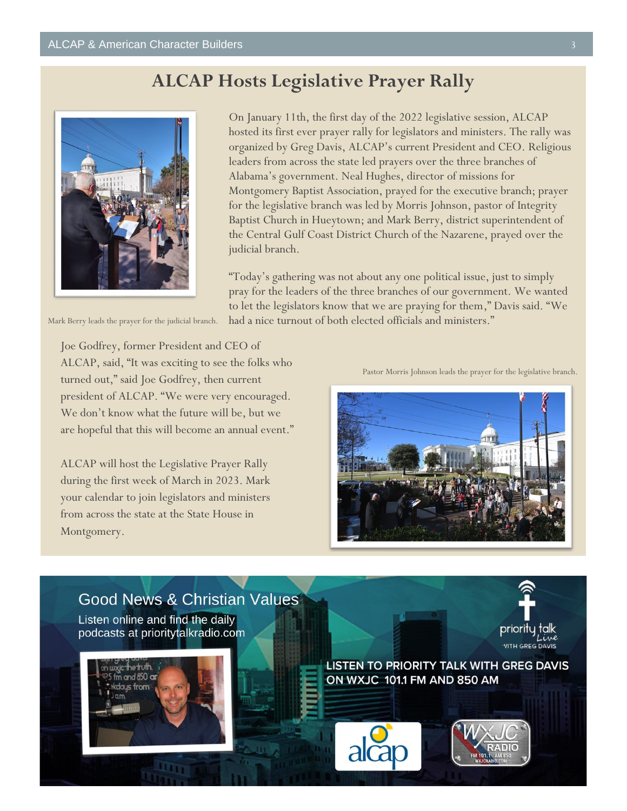### **ALCAP Hosts Legislative Prayer Rally**



On January 11th, the first day of the 2022 legislative session, ALCAP hosted its first ever prayer rally for legislators and ministers. The rally was organized by Greg Davis, ALCAP's current President and CEO. Religious leaders from across the state led prayers over the three branches of Alabama's government. Neal Hughes, director of missions for Montgomery Baptist Association, prayed for the executive branch; prayer for the legislative branch was led by Morris Johnson, pastor of Integrity Baptist Church in Hueytown; and Mark Berry, district superintendent of the Central Gulf Coast District Church of the Nazarene, prayed over the judicial branch.

"Today's gathering was not about any one political issue, just to simply pray for the leaders of the three branches of our government. We wanted to let the legislators know that we are praying for them," Davis said. "We had a nice turnout of both elected officials and ministers."

Mark Berry leads the prayer for the judicial branch.

Joe Godfrey, former President and CEO of ALCAP, said, "It was exciting to see the folks who turned out," said Joe Godfrey, then current president of ALCAP. "We were very encouraged. We don't know what the future will be, but we are hopeful that this will become an annual event."

ALCAP will host the Legislative Prayer Rally during the first week of March in 2023. Mark your calendar to join legislators and ministers from across the state at the State House in Montgomery.

Pastor Morris Johnson leads the prayer for the legislative branch.